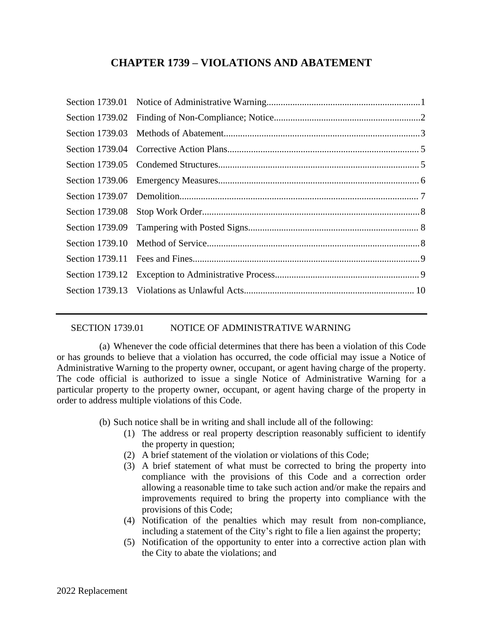# **CHAPTER 1739 – VIOLATIONS AND ABATEMENT**

| Section 1739.09 |  |
|-----------------|--|
|                 |  |
|                 |  |
|                 |  |
|                 |  |
|                 |  |

# <span id="page-0-0"></span>SECTION 1739.01 NOTICE OF ADMINISTRATIVE WARNING

(a) Whenever the code official determines that there has been a violation of this Code or has grounds to believe that a violation has occurred, the code official may issue a Notice of Administrative Warning to the property owner, occupant, or agent having charge of the property. The code official is authorized to issue a single Notice of Administrative Warning for a particular property to the property owner, occupant, or agent having charge of the property in order to address multiple violations of this Code.

(b) Such notice shall be in writing and shall include all of the following:

- (1) The address or real property description reasonably sufficient to identify the property in question;
- (2) A brief statement of the violation or violations of this Code;
- (3) A brief statement of what must be corrected to bring the property into compliance with the provisions of this Code and a correction order allowing a reasonable time to take such action and/or make the repairs and improvements required to bring the property into compliance with the provisions of this Code;
- (4) Notification of the penalties which may result from non-compliance, including a statement of the City's right to file a lien against the property;
- (5) Notification of the opportunity to enter into a corrective action plan with the City to abate the violations; and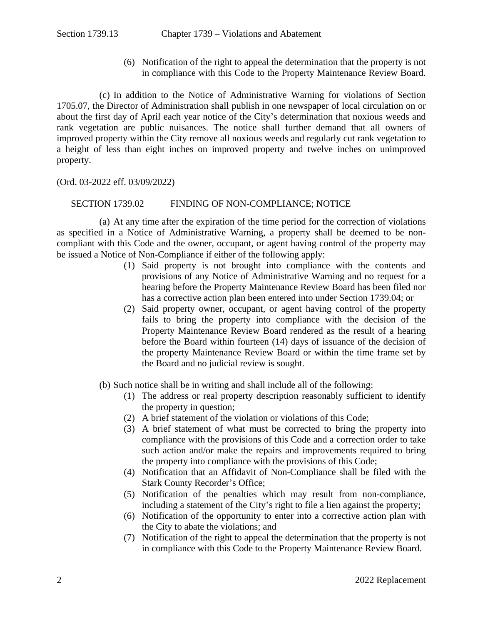(6) Notification of the right to appeal the determination that the property is not in compliance with this Code to the Property Maintenance Review Board.

(c) In addition to the Notice of Administrative Warning for violations of Section 1705.07, the Director of Administration shall publish in one newspaper of local circulation on or about the first day of April each year notice of the City's determination that noxious weeds and rank vegetation are public nuisances. The notice shall further demand that all owners of improved property within the City remove all noxious weeds and regularly cut rank vegetation to a height of less than eight inches on improved property and twelve inches on unimproved property.

(Ord. 03-2022 eff. 03/09/2022)

### SECTION 1739.02 FINDING OF NON-COMPLIANCE; NOTICE

(a) At any time after the expiration of the time period for the correction of violations as specified in a Notice of Administrative Warning, a property shall be deemed to be noncompliant with this Code and the owner, occupant, or agent having control of the property may be issued a Notice of Non-Compliance if either of the following apply:

- <span id="page-1-0"></span>(1) Said property is not brought into compliance with the contents and provisions of any Notice of Administrative Warning and no request for a hearing before the Property Maintenance Review Board has been filed nor has a corrective action plan been entered into under [Section 1739.04](#page-4-0); or
- (2) Said property owner, occupant, or agent having control of the property fails to bring the property into compliance with the decision of the Property Maintenance Review Board rendered as the result of a hearing before the Board within fourteen (14) days of issuance of the decision of the property Maintenance Review Board or within the time frame set by the Board and no judicial review is sought.
- (b) Such notice shall be in writing and shall include all of the following:
	- (1) The address or real property description reasonably sufficient to identify the property in question;
	- (2) A brief statement of the violation or violations of this Code;
	- (3) A brief statement of what must be corrected to bring the property into compliance with the provisions of this Code and a correction order to take such action and/or make the repairs and improvements required to bring the property into compliance with the provisions of this Code;
	- (4) Notification that an Affidavit of Non-Compliance shall be filed with the Stark County Recorder's Office;
	- (5) Notification of the penalties which may result from non-compliance, including a statement of the City's right to file a lien against the property;
	- (6) Notification of the opportunity to enter into a corrective action plan with the City to abate the violations; and
	- (7) Notification of the right to appeal the determination that the property is not in compliance with this Code to the Property Maintenance Review Board.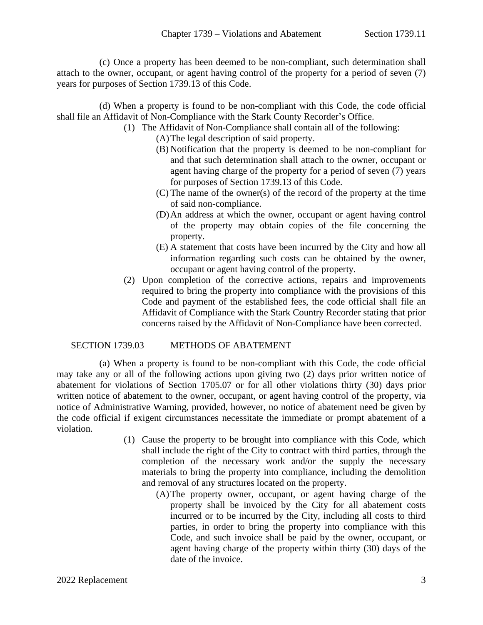(c) Once a property has been deemed to be non-compliant, such determination shall attach to the owner, occupant, or agent having control of the property for a period of seven (7) years for purposes of [Section 1739.13](#page-9-0) of this Code.

(d) When a property is found to be non-compliant with this Code, the code official shall file an Affidavit of Non-Compliance with the Stark County Recorder's Office.

- (1) The Affidavit of Non-Compliance shall contain all of the following:
	- (A)The legal description of said property.
	- (B) Notification that the property is deemed to be non-compliant for and that such determination shall attach to the owner, occupant or agent having charge of the property for a period of seven (7) years for purposes of [Section 1739.13](#page-9-0) of this Code.
	- (C) The name of the owner(s) of the record of the property at the time of said non-compliance.
	- (D)An address at which the owner, occupant or agent having control of the property may obtain copies of the file concerning the property.
	- (E) A statement that costs have been incurred by the City and how all information regarding such costs can be obtained by the owner, occupant or agent having control of the property.
- <span id="page-2-0"></span>(2) Upon completion of the corrective actions, repairs and improvements required to bring the property into compliance with the provisions of this Code and payment of the established fees, the code official shall file an Affidavit of Compliance with the Stark Country Recorder stating that prior concerns raised by the Affidavit of Non-Compliance have been corrected.

### SECTION 1739.03 METHODS OF ABATEMENT

(a) When a property is found to be non-compliant with this Code, the code official may take any or all of the following actions upon giving two (2) days prior written notice of abatement for violations of Section 1705.07 or for all other violations thirty (30) days prior written notice of abatement to the owner, occupant, or agent having control of the property, via notice of Administrative Warning, provided, however, no notice of abatement need be given by the code official if exigent circumstances necessitate the immediate or prompt abatement of a violation.

- (1) Cause the property to be brought into compliance with this Code, which shall include the right of the City to contract with third parties, through the completion of the necessary work and/or the supply the necessary materials to bring the property into compliance, including the demolition and removal of any structures located on the property.
	- (A)The property owner, occupant, or agent having charge of the property shall be invoiced by the City for all abatement costs incurred or to be incurred by the City, including all costs to third parties, in order to bring the property into compliance with this Code, and such invoice shall be paid by the owner, occupant, or agent having charge of the property within thirty (30) days of the date of the invoice.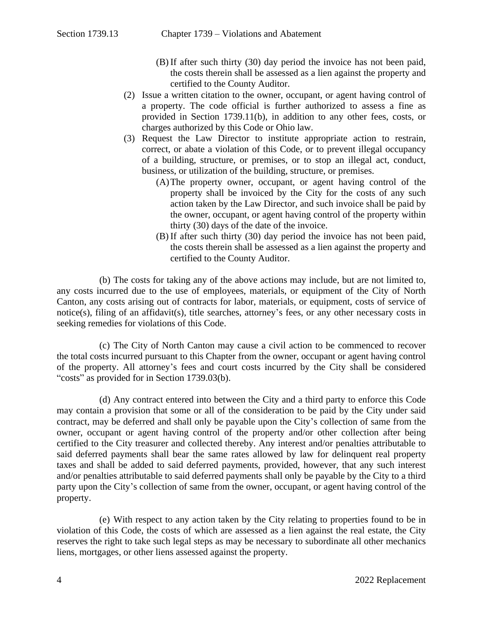- (B) If after such thirty (30) day period the invoice has not been paid, the costs therein shall be assessed as a lien against the property and certified to the County Auditor.
- (2) Issue a written citation to the owner, occupant, or agent having control of a property. The code official is further authorized to assess a fine as provided in Section 1739.11(b), in addition to any other fees, costs, or charges authorized by this Code or Ohio law.
- (3) Request the Law Director to institute appropriate action to restrain, correct, or abate a violation of this Code, or to prevent illegal occupancy of a building, structure, or premises, or to stop an illegal act, conduct, business, or utilization of the building, structure, or premises.
	- (A)The property owner, occupant, or agent having control of the property shall be invoiced by the City for the costs of any such action taken by the Law Director, and such invoice shall be paid by the owner, occupant, or agent having control of the property within thirty (30) days of the date of the invoice.
	- (B) If after such thirty (30) day period the invoice has not been paid, the costs therein shall be assessed as a lien against the property and certified to the County Auditor.

(b) The costs for taking any of the above actions may include, but are not limited to, any costs incurred due to the use of employees, materials, or equipment of the City of North Canton, any costs arising out of contracts for labor, materials, or equipment, costs of service of notice(s), filing of an affidavit(s), title searches, attorney's fees, or any other necessary costs in seeking remedies for violations of this Code.

(c) The City of North Canton may cause a civil action to be commenced to recover the total costs incurred pursuant to this Chapter from the owner, occupant or agent having control of the property. All attorney's fees and court costs incurred by the City shall be considered "costs" as provided for in Section 1739.03(b).

(d) Any contract entered into between the City and a third party to enforce this Code may contain a provision that some or all of the consideration to be paid by the City under said contract, may be deferred and shall only be payable upon the City's collection of same from the owner, occupant or agent having control of the property and/or other collection after being certified to the City treasurer and collected thereby. Any interest and/or penalties attributable to said deferred payments shall bear the same rates allowed by law for delinquent real property taxes and shall be added to said deferred payments, provided, however, that any such interest and/or penalties attributable to said deferred payments shall only be payable by the City to a third party upon the City's collection of same from the owner, occupant, or agent having control of the property.

(e) With respect to any action taken by the City relating to properties found to be in violation of this Code, the costs of which are assessed as a lien against the real estate, the City reserves the right to take such legal steps as may be necessary to subordinate all other mechanics liens, mortgages, or other liens assessed against the property.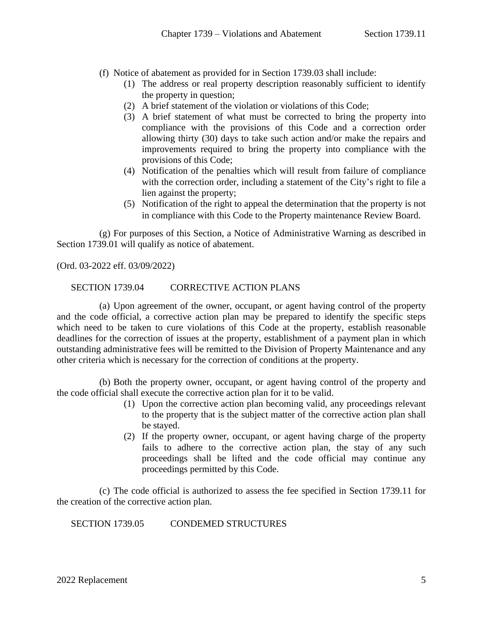- (f) Notice of abatement as provided for in Section 1739.03 shall include:
	- (1) The address or real property description reasonably sufficient to identify the property in question;
	- (2) A brief statement of the violation or violations of this Code;
	- (3) A brief statement of what must be corrected to bring the property into compliance with the provisions of this Code and a correction order allowing thirty (30) days to take such action and/or make the repairs and improvements required to bring the property into compliance with the provisions of this Code;
	- (4) Notification of the penalties which will result from failure of compliance with the correction order, including a statement of the City's right to file a lien against the property;
	- (5) Notification of the right to appeal the determination that the property is not in compliance with this Code to the Property maintenance Review Board.

(g) For purposes of this Section, a Notice of Administrative Warning as described in Section 1739.01 will qualify as notice of abatement.

(Ord. 03-2022 eff. 03/09/2022)

### <span id="page-4-0"></span>SECTION 1739.04 CORRECTIVE ACTION PLANS

(a) Upon agreement of the owner, occupant, or agent having control of the property and the code official, a corrective action plan may be prepared to identify the specific steps which need to be taken to cure violations of this Code at the property, establish reasonable deadlines for the correction of issues at the property, establishment of a payment plan in which outstanding administrative fees will be remitted to the Division of Property Maintenance and any other criteria which is necessary for the correction of conditions at the property.

(b) Both the property owner, occupant, or agent having control of the property and the code official shall execute the corrective action plan for it to be valid.

- (1) Upon the corrective action plan becoming valid, any proceedings relevant to the property that is the subject matter of the corrective action plan shall be stayed.
- <span id="page-4-1"></span>(2) If the property owner, occupant, or agent having charge of the property fails to adhere to the corrective action plan, the stay of any such proceedings shall be lifted and the code official may continue any proceedings permitted by this Code.

(c) The code official is authorized to assess the fee specified in Section [1739.11](#page-8-0) for the creation of the corrective action plan.

SECTION 1739.05 CONDEMED STRUCTURES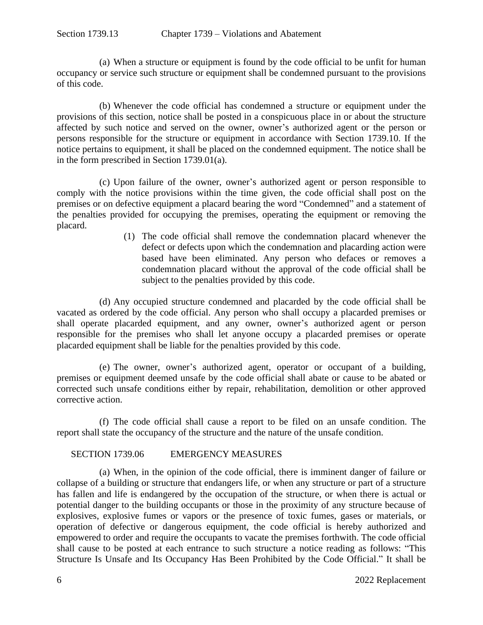(a) When a structure or equipment is found by the code official to be unfit for human occupancy or service such structure or equipment shall be condemned pursuant to the provisions of this code.

(b) Whenever the code official has condemned a structure or equipment under the provisions of this section, notice shall be posted in a conspicuous place in or about the structure affected by such notice and served on the owner, owner's authorized agent or the person or persons responsible for the structure or equipment in accordance with Section [1739.10](#page-7-2). If the notice pertains to equipment, it shall be placed on the condemned equipment. The notice shall be in the form prescribed in Section 1739.01(a).

(c) Upon failure of the owner, owner's authorized agent or person responsible to comply with the notice provisions within the time given, the code official shall post on the premises or on defective equipment a placard bearing the word "Condemned" and a statement of the penalties provided for occupying the premises, operating the equipment or removing the placard.

> (1) The code official shall remove the condemnation placard whenever the defect or defects upon which the condemnation and placarding action were based have been eliminated. Any person who defaces or removes a condemnation placard without the approval of the code official shall be subject to the penalties provided by this code.

(d) Any occupied structure condemned and placarded by the code official shall be vacated as ordered by the code official. Any person who shall occupy a placarded premises or shall operate placarded equipment, and any owner, owner's authorized agent or person responsible for the premises who shall let anyone occupy a placarded premises or operate placarded equipment shall be liable for the penalties provided by this code.

(e) The owner, owner's authorized agent, operator or occupant of a building, premises or equipment deemed unsafe by the code official shall abate or cause to be abated or corrected such unsafe conditions either by repair, rehabilitation, demolition or other approved corrective action.

(f) The code official shall cause a report to be filed on an unsafe condition. The report shall state the occupancy of the structure and the nature of the unsafe condition.

# <span id="page-5-0"></span>SECTION 1739.06 EMERGENCY MEASURES

(a) When, in the opinion of the code official, there is imminent danger of failure or collapse of a building or structure that endangers life, or when any structure or part of a structure has fallen and life is endangered by the occupation of the structure, or when there is actual or potential danger to the building occupants or those in the proximity of any structure because of explosives, explosive fumes or vapors or the presence of toxic fumes, gases or materials, or operation of defective or dangerous equipment, the code official is hereby authorized and empowered to order and require the occupants to vacate the premises forthwith. The code official shall cause to be posted at each entrance to such structure a notice reading as follows: "This Structure Is Unsafe and Its Occupancy Has Been Prohibited by the Code Official." It shall be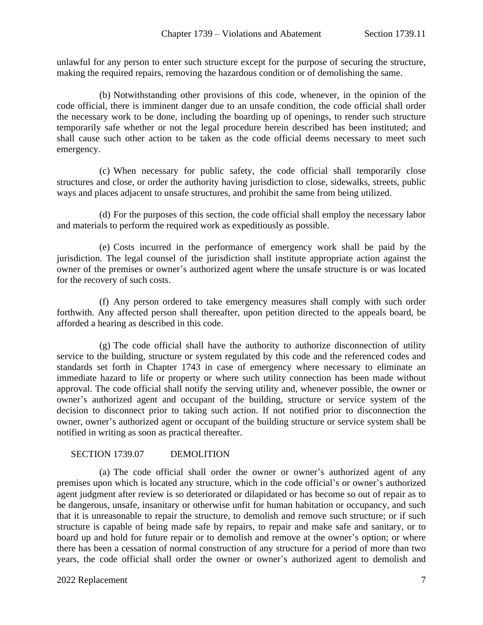unlawful for any person to enter such structure except for the purpose of securing the structure, making the required repairs, removing the hazardous condition or of demolishing the same.

(b) Notwithstanding other provisions of this code, whenever, in the opinion of the code official, there is imminent danger due to an unsafe condition, the code official shall order the necessary work to be done, including the boarding up of openings, to render such structure temporarily safe whether or not the legal procedure herein described has been instituted; and shall cause such other action to be taken as the code official deems necessary to meet such emergency.

(c) When necessary for public safety, the code official shall temporarily close structures and close, or order the authority having jurisdiction to close, sidewalks, streets, public ways and places adjacent to unsafe structures, and prohibit the same from being utilized.

(d) For the purposes of this section, the code official shall employ the necessary labor and materials to perform the required work as expeditiously as possible.

(e) Costs incurred in the performance of emergency work shall be paid by the jurisdiction. The legal counsel of the jurisdiction shall institute appropriate action against the owner of the premises or owner's authorized agent where the unsafe structure is or was located for the recovery of such costs.

(f) Any person ordered to take emergency measures shall comply with such order forthwith. Any affected person shall thereafter, upon petition directed to the appeals board, be afforded a hearing as described in this code.

(g) The code official shall have the authority to authorize disconnection of utility service to the building, structure or system regulated by this code and the referenced codes and standards set forth in Chapter 1743 in case of emergency where necessary to eliminate an immediate hazard to life or property or where such utility connection has been made without approval. The code official shall notify the serving utility and, whenever possible, the owner or owner's authorized agent and occupant of the building, structure or service system of the decision to disconnect prior to taking such action. If not notified prior to disconnection the owner, owner's authorized agent or occupant of the building structure or service system shall be notified in writing as soon as practical thereafter.

# <span id="page-6-0"></span>SECTION 1739.07 DEMOLITION

(a) The code official shall order the owner or owner's authorized agent of any premises upon which is located any structure, which in the code official's or owner's authorized agent judgment after review is so deteriorated or dilapidated or has become so out of repair as to be dangerous, unsafe, insanitary or otherwise unfit for human habitation or occupancy, and such that it is unreasonable to repair the structure, to demolish and remove such structure; or if such structure is capable of being made safe by repairs, to repair and make safe and sanitary, or to board up and hold for future repair or to demolish and remove at the owner's option; or where there has been a cessation of normal construction of any structure for a period of more than two years, the code official shall order the owner or owner's authorized agent to demolish and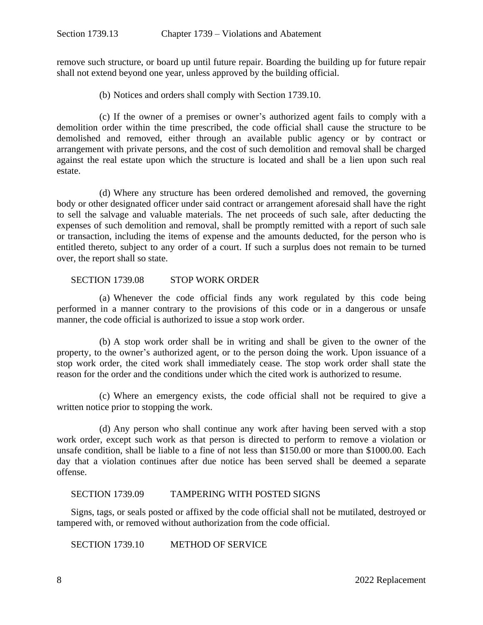remove such structure, or board up until future repair. Boarding the building up for future repair shall not extend beyond one year, unless approved by the building official.

(b) Notices and orders shall comply with [Section 1739.10.](#page-7-2)

(c) If the owner of a premises or owner's authorized agent fails to comply with a demolition order within the time prescribed, the code official shall cause the structure to be demolished and removed, either through an available public agency or by contract or arrangement with private persons, and the cost of such demolition and removal shall be charged against the real estate upon which the structure is located and shall be a lien upon such real estate.

(d) Where any structure has been ordered demolished and removed, the governing body or other designated officer under said contract or arrangement aforesaid shall have the right to sell the salvage and valuable materials. The net proceeds of such sale, after deducting the expenses of such demolition and removal, shall be promptly remitted with a report of such sale or transaction, including the items of expense and the amounts deducted, for the person who is entitled thereto, subject to any order of a court. If such a surplus does not remain to be turned over, the report shall so state.

### <span id="page-7-0"></span>SECTION 1739.08 STOP WORK ORDER

(a) Whenever the code official finds any work regulated by this code being performed in a manner contrary to the provisions of this code or in a dangerous or unsafe manner, the code official is authorized to issue a stop work order.

(b) A stop work order shall be in writing and shall be given to the owner of the property, to the owner's authorized agent, or to the person doing the work. Upon issuance of a stop work order, the cited work shall immediately cease. The stop work order shall state the reason for the order and the conditions under which the cited work is authorized to resume.

(c) Where an emergency exists, the code official shall not be required to give a written notice prior to stopping the work.

(d) Any person who shall continue any work after having been served with a stop work order, except such work as that person is directed to perform to remove a violation or unsafe condition, shall be liable to a fine of not less than \$150.00 or more than \$1000.00. Each day that a violation continues after due notice has been served shall be deemed a separate offense.

### <span id="page-7-1"></span>SECTION 1739.09 TAMPERING WITH POSTED SIGNS

Signs, tags, or seals posted or affixed by the code official shall not be mutilated, destroyed or tampered with, or removed without authorization from the code official.

<span id="page-7-2"></span>SECTION 1739.10 METHOD OF SERVICE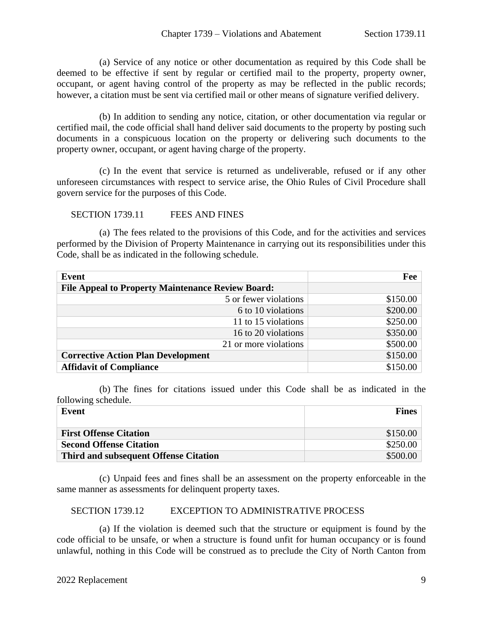(a) Service of any notice or other documentation as required by this Code shall be deemed to be effective if sent by regular or certified mail to the property, property owner, occupant, or agent having control of the property as may be reflected in the public records; however, a citation must be sent via certified mail or other means of signature verified delivery.

(b) In addition to sending any notice, citation, or other documentation via regular or certified mail, the code official shall hand deliver said documents to the property by posting such documents in a conspicuous location on the property or delivering such documents to the property owner, occupant, or agent having charge of the property.

(c) In the event that service is returned as undeliverable, refused or if any other unforeseen circumstances with respect to service arise, the Ohio Rules of Civil Procedure shall govern service for the purposes of this Code.

<span id="page-8-0"></span>SECTION 1739.11 FEES AND FINES

(a) The fees related to the provisions of this Code, and for the activities and services performed by the Division of Property Maintenance in carrying out its responsibilities under this Code, shall be as indicated in the following schedule.

| <b>Event</b>                                             | Fee      |
|----------------------------------------------------------|----------|
| <b>File Appeal to Property Maintenance Review Board:</b> |          |
| 5 or fewer violations                                    | \$150.00 |
| 6 to 10 violations                                       | \$200.00 |
| 11 to 15 violations                                      | \$250.00 |
| 16 to 20 violations                                      | \$350.00 |
| 21 or more violations                                    | \$500.00 |
| <b>Corrective Action Plan Development</b>                | \$150.00 |
| <b>Affidavit of Compliance</b>                           | \$150.00 |

(b) The fines for citations issued under this Code shall be as indicated in the following schedule.

| Event                                 | <b>Fines</b> |
|---------------------------------------|--------------|
| <b>First Offense Citation</b>         | \$150.00     |
| <b>Second Offense Citation</b>        | \$250.00     |
| Third and subsequent Offense Citation | \$500.00     |

(c) Unpaid fees and fines shall be an assessment on the property enforceable in the same manner as assessments for delinquent property taxes.

<span id="page-8-1"></span>SECTION 1739.12 EXCEPTION TO ADMINISTRATIVE PROCESS

(a) If the violation is deemed such that the structure or equipment is found by the code official to be unsafe, or when a structure is found unfit for human occupancy or is found unlawful, nothing in this Code will be construed as to preclude the City of North Canton from